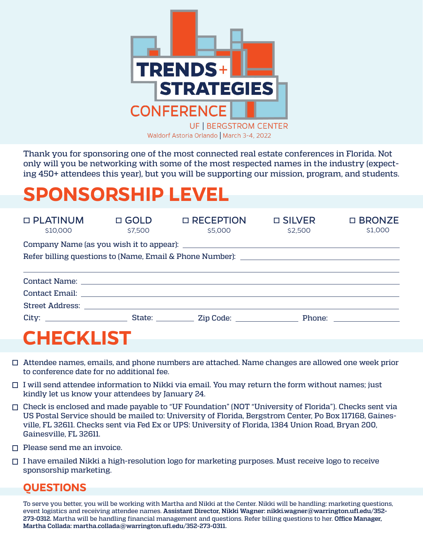

Thank you for sponsoring one of the most connected real estate conferences in Florida. Not only will you be networking with some of the most respected names in the industry (expecting 450+ attendees this year), but you will be supporting our mission, program, and students.

## **SPONSORSHIP LEVEL**

| $\Box$ PLATINUM<br>\$10,000 | \$7,500 | $\Box$ GOLD $\Box$ RECEPTION<br>\$5,000 | $\Box$ SILVER<br>\$2,500 | $\square$ BRONZE<br>\$1,000 |  |  |  |  |  |
|-----------------------------|---------|-----------------------------------------|--------------------------|-----------------------------|--|--|--|--|--|
|                             |         |                                         |                          |                             |  |  |  |  |  |
|                             |         |                                         |                          |                             |  |  |  |  |  |
|                             |         |                                         |                          |                             |  |  |  |  |  |
|                             |         |                                         |                          |                             |  |  |  |  |  |
|                             |         |                                         |                          |                             |  |  |  |  |  |
| <b>CHECKLIST</b>            |         |                                         |                          |                             |  |  |  |  |  |

- $\Box$  Attendee names, emails, and phone numbers are attached. Name changes are allowed one week prior to conference date for no additional fee.
- $\Box$  I will send attendee information to Nikki via email. You may return the form without names; just kindly let us know your attendees by January 24.
- Check is enclosed and made payable to "UF Foundation" (NOT "University of Florida"). Checks sent via US Postal Service should be mailed to: University of Florida, Bergstrom Center, Po Box 117168, Gainesville, FL 32611. Checks sent via Fed Ex or UPS: University of Florida, 1384 Union Road, Bryan 200, Gainesville, FL 32611.
- $\Box$  Please send me an invoice.
- $\Box$  I have emailed Nikki a high-resolution logo for marketing purposes. Must receive logo to receive sponsorship marketing.

## **QUESTIONS**

To serve you better, you will be working with Martha and Nikki at the Center. Nikki will be handling: marketing questions, event logistics and receiving attendee names. **Assistant Director, Nikki Wagner: nikki.wagner@warrington.ufl.edu/352- 273-0312.** Martha will be handling financial management and questions. Refer billing questions to her. **Office Manager, Martha Collada: martha.collada@warrington.ufl.edu/352-273-0311.**